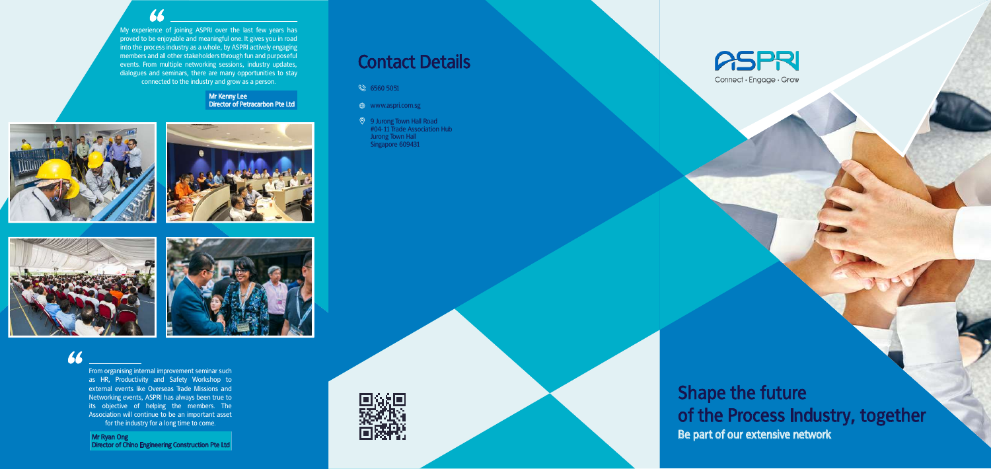## Shape the future of the Process Industry, together Be part of our extensive network

# Contact Details

 $6560 5051$ 

- $\qquad \qquad \oplus \qquad$  www.aspri.com.sg
- 9 Jurong Town Hall Road #04-11 Trade Association Hub Jurong Town Hall Singapore 609431





Connect · Engage · Grow

#### My experience of joining ASPRI over the last few years has proved to be enjoyable and meaningful one. It gives you in road into the process industry as a whole, by ASPRI actively engaging members and all other stakeholders through fun and purposeful events. From multiple networking sessions, industry updates, dialogues and seminars, there are many opportunities to stay connected to the industry and grow as a person.

Mr Ryan Ong Director of Chino Engineering Construction Pte Ltd

Mr Kenny Lee Director of Petracarbon Pte Ltd









### 66

From organising internal improvement seminar such as HR, Productivity and Safety Workshop to external events like Overseas Trade Missions and Networking events, ASPRI has always been true to its objective of helping the members. The Association will continue to be an important asset for the industry for a long time to come.